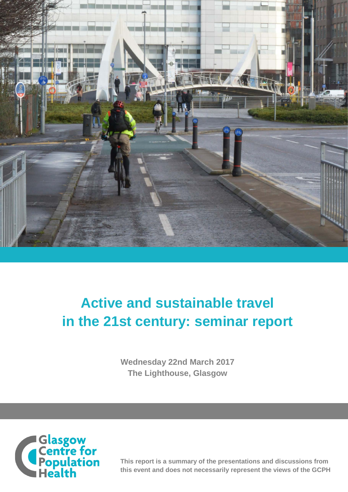

# **Active and sustainable travel in the 21st century: seminar report**

**Wednesday 22nd March 2017 The Lighthouse, Glasgow**



**This report is a summary of the presentations and discussions from this event and does not necessarily represent the views of the GCPH**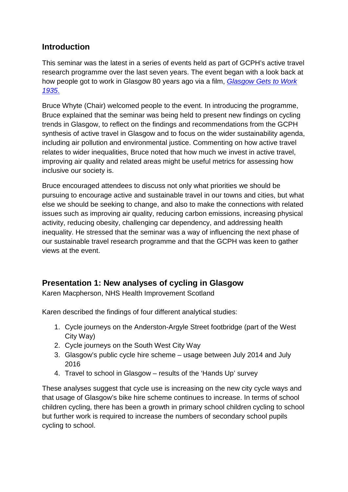# **Introduction**

This seminar was the latest in a series of events held as part of GCPH's active travel research programme over the last seven years. The event began with a look back at how people got to work in Glasgow 80 years ago via a film, *[Glasgow Gets to Work](http://player.bfi.org.uk/film/watch-glasgow-gets-to-work-1935/)  [1935](http://player.bfi.org.uk/film/watch-glasgow-gets-to-work-1935/)*.

Bruce Whyte (Chair) welcomed people to the event. In introducing the programme, Bruce explained that the seminar was being held to present new findings on cycling trends in Glasgow, to reflect on the findings and recommendations from the GCPH synthesis of active travel in Glasgow and to focus on the wider sustainability agenda, including air pollution and environmental justice. Commenting on how active travel relates to wider inequalities, Bruce noted that how much we invest in active travel, improving air quality and related areas might be useful metrics for assessing how inclusive our society is.

Bruce encouraged attendees to discuss not only what priorities we should be pursuing to encourage active and sustainable travel in our towns and cities, but what else we should be seeking to change, and also to make the connections with related issues such as improving air quality, reducing carbon emissions, increasing physical activity, reducing obesity, challenging car dependency, and addressing health inequality. He stressed that the seminar was a way of influencing the next phase of our sustainable travel research programme and that the GCPH was keen to gather views at the event.

# **Presentation 1: New analyses of cycling in Glasgow**

Karen Macpherson, NHS Health Improvement Scotland

Karen described the findings of four different analytical studies:

- 1. Cycle journeys on the Anderston-Argyle Street footbridge (part of the West City Way)
- 2. Cycle journeys on the South West City Way
- 3. Glasgow's public cycle hire scheme usage between July 2014 and July 2016
- 4. Travel to school in Glasgow results of the 'Hands Up' survey

These analyses suggest that cycle use is increasing on the new city cycle ways and that usage of Glasgow's bike hire scheme continues to increase. In terms of school children cycling, there has been a growth in primary school children cycling to school but further work is required to increase the numbers of secondary school pupils cycling to school.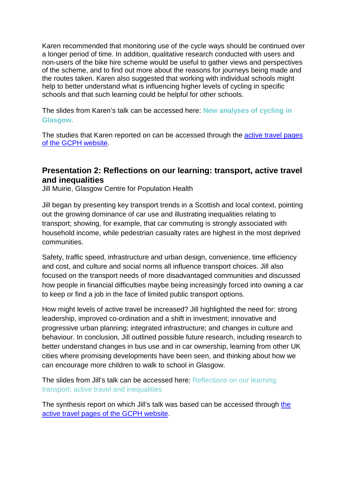Karen recommended that monitoring use of the cycle ways should be continued over a longer period of time. In addition, qualitative research conducted with users and non-users of the bike hire scheme would be useful to gather views and perspectives of the scheme, and to find out more about the reasons for journeys being made and the routes taken. Karen also suggested that working with individual schools might help to better understand what is influencing higher levels of cycling in specific schools and that such learning could be helpful for other schools.

The slides from Karen's talk can be accessed here: **New [analyses](http://www.gcph.co.uk/assets/0000/6100/Karen_MacPherson_Active_Travel.pdf) of cycling in [Glasgow.](http://www.gcph.co.uk/assets/0000/6100/Karen_MacPherson_Active_Travel.pdf)**

The studies that Karen reported on can be accessed through the [active travel pages](http://www.gcph.co.uk/latest/news/703_new_analyses_of_cycling_in_glasgow)  [of the GCPH website.](http://www.gcph.co.uk/latest/news/703_new_analyses_of_cycling_in_glasgow)

### **Presentation 2: Reflections on our learning: transport, active travel and inequalities**

Jill Muirie, Glasgow Centre for Population Health

Jill began by presenting key transport trends in a Scottish and local context, pointing out the growing dominance of car use and illustrating inequalities relating to transport; showing, for example, that car commuting is strongly associated with household income, while pedestrian casualty rates are highest in the most deprived communities.

Safety, traffic speed, infrastructure and urban design, convenience, time efficiency and cost, and culture and social norms all influence transport choices. Jill also focused on the transport needs of more disadvantaged communities and discussed how people in financial difficulties maybe being increasingly forced into owning a car to keep or find a job in the face of limited public transport options.

How might levels of active travel be increased? Jill highlighted the need for: strong leadership, improved co-ordination and a shift in investment; innovative and progressive urban planning; integrated infrastructure; and changes in culture and behaviour. In conclusion, Jill outlined possible future research, including research to better understand changes in bus use and in car ownership, learning from other UK cities where promising developments have been seen, and thinking about how we can encourage more children to walk to school in Glasgow.

The slides from Jill's talk can be accessed here: [Reflections](http://www.gcph.co.uk/assets/0000/6101/Jill_Muirie_Active_Travel.pdf) on our learning: transport, active travel and [inequalities](http://www.gcph.co.uk/assets/0000/6101/Jill_Muirie_Active_Travel.pdf)

The synthesis report on which Jill's talk was based can be accessed through [the](http://www.gcph.co.uk/work_themes/theme_2_urban_health/active_sustainable_travel/synthesis)  [active travel pages of the GCPH website.](http://www.gcph.co.uk/work_themes/theme_2_urban_health/active_sustainable_travel/synthesis)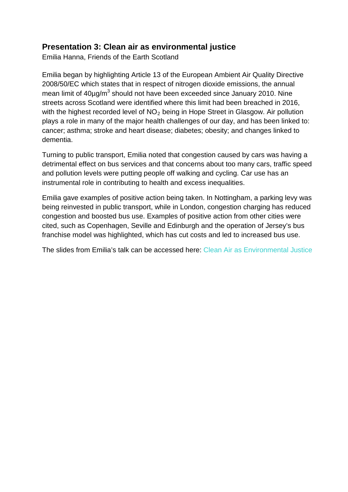## **Presentation 3: Clean air as environmental justice**

Emilia Hanna, Friends of the Earth Scotland

Emilia began by highlighting Article 13 of the European Ambient Air Quality Directive 2008/50/EC which states that in respect of nitrogen dioxide emissions, the annual mean limit of 40ug/m<sup>3</sup> should not have been exceeded since January 2010. Nine streets across Scotland were identified where this limit had been breached in 2016, with the highest recorded level of  $NO<sub>2</sub>$  being in Hope Street in Glasgow. Air pollution plays a role in many of the major health challenges of our day, and has been linked to: cancer; asthma; stroke and heart disease; diabetes; obesity; and changes linked to dementia.

Turning to public transport, Emilia noted that congestion caused by cars was having a detrimental effect on bus services and that concerns about too many cars, traffic speed and pollution levels were putting people off walking and cycling. Car use has an instrumental role in contributing to health and excess inequalities.

Emilia gave examples of positive action being taken. In Nottingham, a parking levy was being reinvested in public transport, while in London, congestion charging has reduced congestion and boosted bus use. Examples of positive action from other cities were cited, such as Copenhagen, Seville and Edinburgh and the operation of Jersey's bus franchise model was highlighted, which has cut costs and led to increased bus use.

The slides from Emilia's talk can be accessed here: [Clean Air as Environmental Justice](http://www.gcph.co.uk/assets/0000/6098/Emilia_Hanna_Active_Travel.pdf)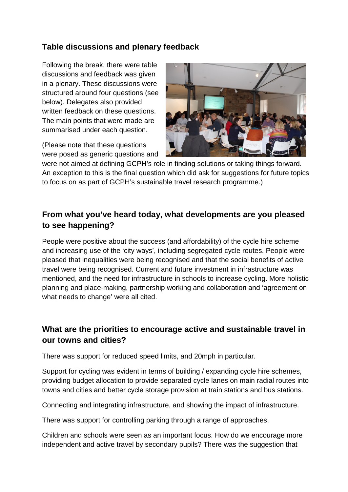# **Table discussions and plenary feedback**

Following the break, there were table discussions and feedback was given in a plenary. These discussions were structured around four questions (see below). Delegates also provided written feedback on these questions. The main points that were made are summarised under each question.

(Please note that these questions were posed as generic questions and

![](_page_4_Picture_3.jpeg)

were not aimed at defining GCPH's role in finding solutions or taking things forward. An exception to this is the final question which did ask for suggestions for future topics to focus on as part of GCPH's sustainable travel research programme.)

# **From what you've heard today, what developments are you pleased to see happening?**

People were positive about the success (and affordability) of the cycle hire scheme and increasing use of the 'city ways', including segregated cycle routes. People were pleased that inequalities were being recognised and that the social benefits of active travel were being recognised. Current and future investment in infrastructure was mentioned, and the need for infrastructure in schools to increase cycling. More holistic planning and place-making, partnership working and collaboration and 'agreement on what needs to change' were all cited.

# **What are the priorities to encourage active and sustainable travel in our towns and cities?**

There was support for reduced speed limits, and 20mph in particular.

Support for cycling was evident in terms of building / expanding cycle hire schemes, providing budget allocation to provide separated cycle lanes on main radial routes into towns and cities and better cycle storage provision at train stations and bus stations.

Connecting and integrating infrastructure, and showing the impact of infrastructure.

There was support for controlling parking through a range of approaches.

Children and schools were seen as an important focus. How do we encourage more independent and active travel by secondary pupils? There was the suggestion that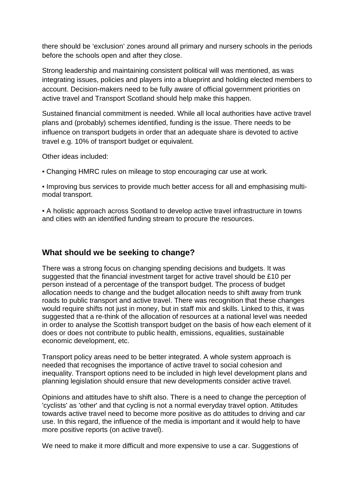there should be 'exclusion' zones around all primary and nursery schools in the periods before the schools open and after they close.

Strong leadership and maintaining consistent political will was mentioned, as was integrating issues, policies and players into a blueprint and holding elected members to account. Decision-makers need to be fully aware of official government priorities on active travel and Transport Scotland should help make this happen.

Sustained financial commitment is needed. While all local authorities have active travel plans and (probably) schemes identified, funding is the issue. There needs to be influence on transport budgets in order that an adequate share is devoted to active travel e.g. 10% of transport budget or equivalent.

Other ideas included:

▪ Changing HMRC rules on mileage to stop encouraging car use at work.

▪ Improving bus services to provide much better access for all and emphasising multimodal transport.

▪ A holistic approach across Scotland to develop active travel infrastructure in towns and cities with an identified funding stream to procure the resources.

#### **What should we be seeking to change?**

There was a strong focus on changing spending decisions and budgets. It was suggested that the financial investment target for active travel should be £10 per person instead of a percentage of the transport budget. The process of budget allocation needs to change and the budget allocation needs to shift away from trunk roads to public transport and active travel. There was recognition that these changes would require shifts not just in money, but in staff mix and skills. Linked to this, it was suggested that a re-think of the allocation of resources at a national level was needed in order to analyse the Scottish transport budget on the basis of how each element of it does or does not contribute to public health, emissions, equalities, sustainable economic development, etc.

Transport policy areas need to be better integrated. A whole system approach is needed that recognises the importance of active travel to social cohesion and inequality. Transport options need to be included in high level development plans and planning legislation should ensure that new developments consider active travel.

Opinions and attitudes have to shift also. There is a need to change the perception of 'cyclists' as 'other' and that cycling is not a normal everyday travel option. Attitudes towards active travel need to become more positive as do attitudes to driving and car use. In this regard, the influence of the media is important and it would help to have more positive reports (on active travel).

We need to make it more difficult and more expensive to use a car. Suggestions of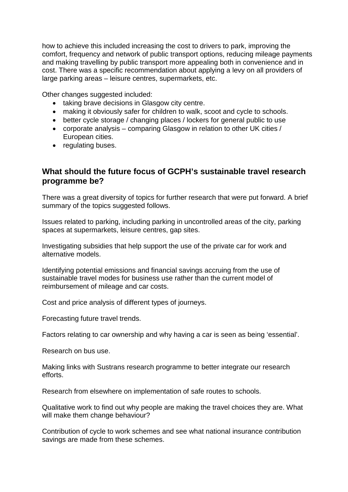how to achieve this included increasing the cost to drivers to park, improving the comfort, frequency and network of public transport options, reducing mileage payments and making travelling by public transport more appealing both in convenience and in cost. There was a specific recommendation about applying a levy on all providers of large parking areas – leisure centres, supermarkets, etc.

Other changes suggested included:

- taking brave decisions in Glasgow city centre.
- making it obviously safer for children to walk, scoot and cycle to schools.
- better cycle storage / changing places / lockers for general public to use
- corporate analysis comparing Glasgow in relation to other UK cities / European cities.
- regulating buses.

#### **What should the future focus of GCPH's sustainable travel research programme be?**

There was a great diversity of topics for further research that were put forward. A brief summary of the topics suggested follows.

Issues related to parking, including parking in uncontrolled areas of the city, parking spaces at supermarkets, leisure centres, gap sites.

Investigating subsidies that help support the use of the private car for work and alternative models.

Identifying potential emissions and financial savings accruing from the use of sustainable travel modes for business use rather than the current model of reimbursement of mileage and car costs.

Cost and price analysis of different types of journeys.

Forecasting future travel trends.

Factors relating to car ownership and why having a car is seen as being 'essential'.

Research on bus use.

Making links with Sustrans research programme to better integrate our research efforts.

Research from elsewhere on implementation of safe routes to schools.

Qualitative work to find out why people are making the travel choices they are. What will make them change behaviour?

Contribution of cycle to work schemes and see what national insurance contribution savings are made from these schemes.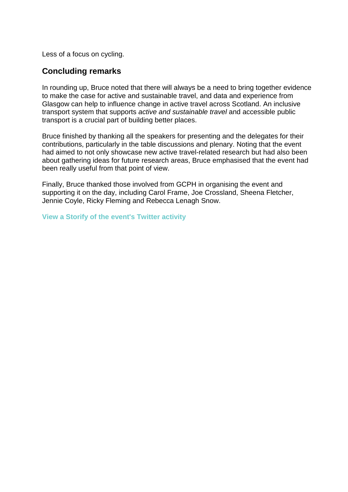Less of a focus on cycling.

#### **Concluding remarks**

In rounding up, Bruce noted that there will always be a need to bring together evidence to make the case for active and sustainable travel, and data and experience from Glasgow can help to influence change in active travel across Scotland. An inclusive transport system that supports *active and sustainable travel* and accessible public transport is a crucial part of building better places.

Bruce finished by thanking all the speakers for presenting and the delegates for their contributions, particularly in the table discussions and plenary. Noting that the event had aimed to not only showcase new active travel-related research but had also been about gathering ideas for future research areas, Bruce emphasised that the event had been really useful from that point of view.

Finally, Bruce thanked those involved from GCPH in organising the event and supporting it on the day, including Carol Frame, Joe Crossland, Sheena Fletcher, Jennie Coyle, Ricky Fleming and Rebecca Lenagh Snow.

**View a Storify of the event's Twitter [activity](https://storify.com/theGCPH/active-and-sustainable-travel-event)**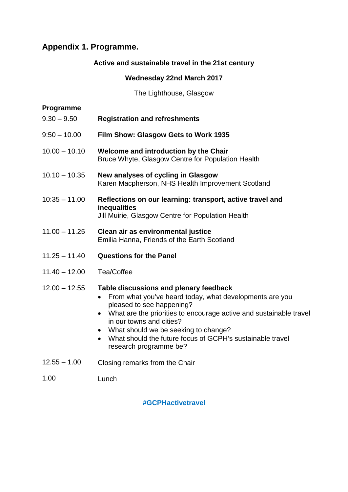# **Appendix 1. Programme.**

#### **Active and sustainable travel in the 21st century**

#### **Wednesday 22nd March 2017**

The Lighthouse, Glasgow

#### **Programme**

- 9.30 9.50 **Registration and refreshments**
- $9:50 10.00$ **Film Show: Glasgow Gets to Work 1935**
- $10.00 10.10$ **Welcome and introduction by the Chair** Bruce Whyte, Glasgow Centre for Population Health
- $10.10 10.35$ **New analyses of cycling in Glasgow**  Karen Macpherson, NHS Health Improvement Scotland
- 10:35 11.00 **Reflections on our learning: transport, active travel and inequalities** Jill Muirie, Glasgow Centre for Population Health
- 11.00 11.25 **Clean air as environmental justice** Emilia Hanna, Friends of the Earth Scotland
- 11.25 11.40 **Questions for the Panel**
- 11.40 12.00 Tea/Coffee

#### 12.00 – 12.55 **Table discussions and plenary feedback**

- From what you've heard today, what developments are you pleased to see happening?
- What are the priorities to encourage active and sustainable travel in our towns and cities?
- What should we be seeking to change?
- What should the future focus of GCPH's sustainable travel research programme be?
- $12.55 1.00$ Closing remarks from the Chair
- 1.00 Lunch

 **#GCPHactivetravel**